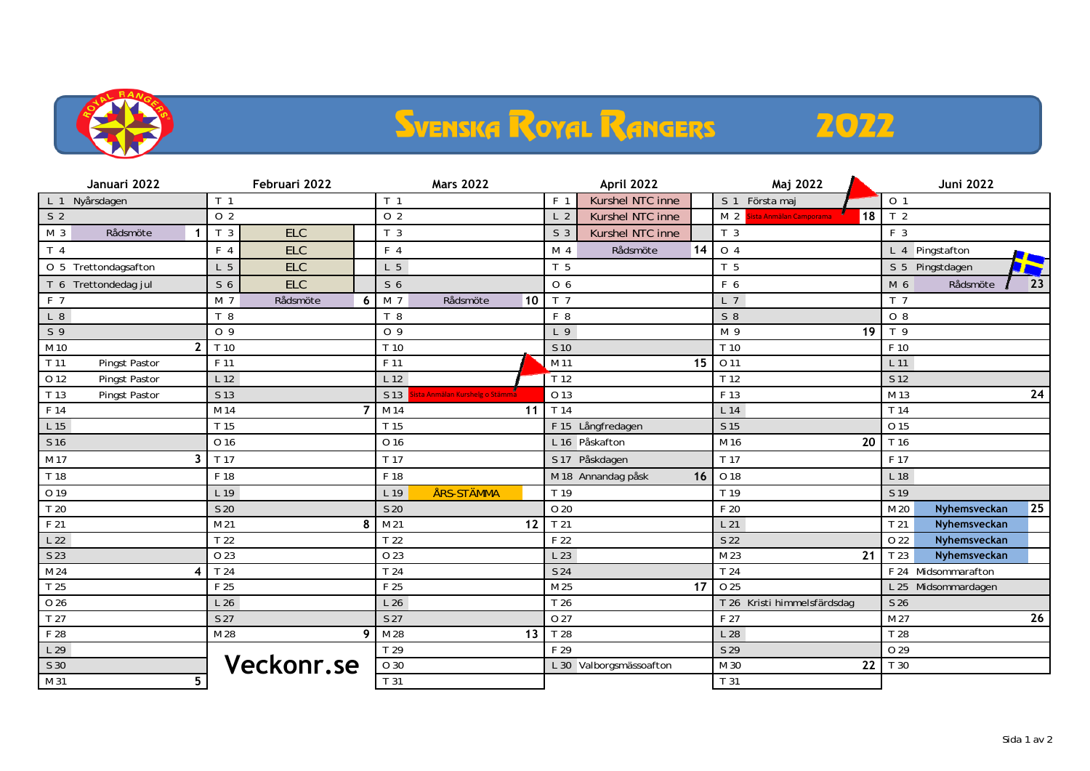

## **SVENSKA ROYAL RANGERS**

## 2022

| Januari 2022                     | Februari 2022                | <b>Mars 2022</b>                       | April 2022                         | Maj 2022                                        | <b>Juni 2022</b>                 |
|----------------------------------|------------------------------|----------------------------------------|------------------------------------|-------------------------------------------------|----------------------------------|
| Nyårsdagen<br>L <sub>1</sub>     | T <sub>1</sub>               | T <sub>1</sub>                         | Kurshel NTC inne<br>F <sub>1</sub> | Första maj<br>S <sub>1</sub>                    | 0 <sub>1</sub>                   |
| S <sub>2</sub>                   | 0 <sub>2</sub>               | O <sub>2</sub>                         | L <sub>2</sub><br>Kurshel NTC inne | 18<br>M <sub>2</sub><br>Sista Anmälan Camporama | T <sub>2</sub>                   |
| M <sub>3</sub><br>Rådsmöte<br>-1 | <b>ELC</b><br>T <sub>3</sub> | T <sub>3</sub>                         | Kurshel NTC inne<br>S <sub>3</sub> | T <sub>3</sub>                                  | F 3                              |
| T <sub>4</sub>                   | <b>ELC</b><br>F <sub>4</sub> | F <sub>4</sub>                         | 14<br>M <sub>4</sub><br>Rådsmöte   | O <sub>4</sub>                                  | L 4 Pingstafton<br><b>Albert</b> |
| O 5 Trettondagsafton             | <b>ELC</b><br>L <sub>5</sub> | L <sub>5</sub>                         | T 5                                | T 5                                             | S 5 Pingstdagen<br><b>Fair</b>   |
| T 6 Trettondedag jul             | <b>ELC</b><br>S <sub>6</sub> | S <sub>6</sub>                         | 0 <sub>6</sub>                     | F 6                                             | M 6<br>Rådsmöte<br>23            |
| F 7                              | M 7<br>6<br>Rådsmöte         | 10<br>M <sub>7</sub><br>Rådsmöte       | T <sub>7</sub>                     | L <sub>7</sub>                                  | T <sub>7</sub>                   |
| $L_8$                            | T 8                          | T 8                                    | F 8                                | $S_8$                                           | $O_8$                            |
| S <sub>9</sub>                   | O <sub>9</sub>               | 0 <sub>9</sub>                         | L <sub>9</sub>                     | 19<br>M 9                                       | T <sub>9</sub>                   |
| M 10<br>$\overline{2}$           | T 10                         | T 10                                   | S <sub>10</sub>                    | T 10                                            | F 10                             |
| T 11<br>Pingst Pastor            | F 11                         | F 11                                   | 15<br>M 11                         | 0 1 1                                           | L 11                             |
| O 12<br>Pingst Pastor            | L <sub>12</sub>              | L <sub>12</sub>                        | $T$ 12                             | T <sub>12</sub>                                 | S 12                             |
| T 13<br>Pingst Pastor            | S 13                         | S 13<br>ista Anmälan Kurshelg o Stämma | O 13                               | F 13                                            | M 13<br>24                       |
| F 14                             | M 14<br>$\overline{7}$       | M 14<br>11                             | T 14                               | L 14                                            | T 14                             |
| L 15                             | T 15                         | T 15                                   | F 15 Långfredagen                  | S 15                                            | 0 15                             |
| S 16                             | O 16                         | O 16                                   | L 16 Påskafton                     | 20<br>M 16                                      | T 16                             |
| M 17<br>3                        | T 17                         | T 17                                   | S 17 Påskdagen                     | T 17                                            | F 17                             |
| T 18                             | F 18                         | F 18                                   | M 18 Annandag påsk<br>16           | O 18                                            | L 18                             |
| O 19                             | L 19                         | ÅRS-STÄMMA<br>L 19                     | T 19                               | T 19                                            | S 19                             |
| T 20                             | S 20                         | S 20                                   | O 20                               | F 20                                            | 25<br>M 20<br>Nyhemsveckan       |
| F 21                             | M 21<br>8                    | M 21<br>12                             | T <sub>21</sub>                    | L21                                             | T <sub>21</sub><br>Nyhemsveckan  |
| L22                              | T <sub>22</sub>              | T <sub>22</sub>                        | F 22                               | S 22                                            | 0 2 2<br>Nyhemsveckan            |
| S 23                             | 0 23                         | O 23                                   | L 23                               | M 23<br>21                                      | T 23<br>Nyhemsveckan             |
| M 24                             | T 24                         | T <sub>24</sub>                        | S 24                               | T 24                                            | F 24 Midsommarafton              |
| T 25                             | F 25                         | F 25                                   | 17<br>M 25                         | O 25                                            | L 25 Midsommardagen              |
| 0 26                             | L26                          | L <sub>26</sub>                        | T 26                               | T 26 Kristi himmelsfärdsdag                     | S 26                             |
| T 27                             | S 27                         | S 27                                   | O 27                               | F 27                                            | M 27<br>26                       |
| F 28                             | M 28<br>9                    | 13<br>M 28                             | T 28                               | L <sub>28</sub>                                 | T 28                             |
| L29                              |                              | T 29                                   | F 29                               | S 29                                            | O 29                             |
| S 30                             | Veckonr.se                   | $\overline{0}30$                       | L 30 Valborgsmässoafton            | 22<br>M 30                                      | T 30                             |
| $5\phantom{.0}$<br>M 31          |                              | T <sub>31</sub>                        |                                    | T 31                                            |                                  |